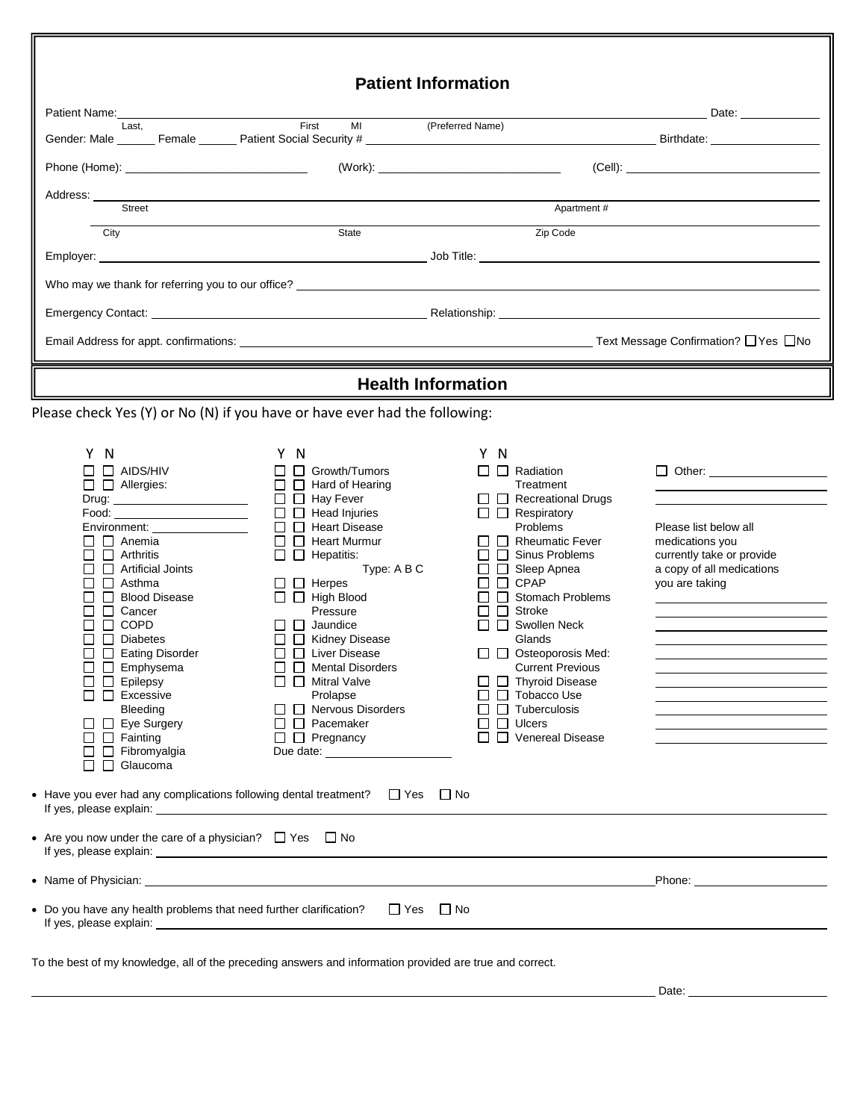|                                                                                                                                                                                                                                                                                                                                                                                                                                                                                                                                                                                                                                                                                                                           |                                                                                                                                                                                                                                                                                                                                                                                                                                                                                      | <b>Patient Information</b>                                                                                                                                                                                                                                                                                                                                                                                                                                                                              |                                                                                                                                                                                                                                |
|---------------------------------------------------------------------------------------------------------------------------------------------------------------------------------------------------------------------------------------------------------------------------------------------------------------------------------------------------------------------------------------------------------------------------------------------------------------------------------------------------------------------------------------------------------------------------------------------------------------------------------------------------------------------------------------------------------------------------|--------------------------------------------------------------------------------------------------------------------------------------------------------------------------------------------------------------------------------------------------------------------------------------------------------------------------------------------------------------------------------------------------------------------------------------------------------------------------------------|---------------------------------------------------------------------------------------------------------------------------------------------------------------------------------------------------------------------------------------------------------------------------------------------------------------------------------------------------------------------------------------------------------------------------------------------------------------------------------------------------------|--------------------------------------------------------------------------------------------------------------------------------------------------------------------------------------------------------------------------------|
| Patient Name:<br><u> 1980 - Johann Barn, mars ann an t-Amhain Aonaich an t-Aonaich an t-Aonaich ann an t-Aonaich ann an t-Aonaich</u>                                                                                                                                                                                                                                                                                                                                                                                                                                                                                                                                                                                     |                                                                                                                                                                                                                                                                                                                                                                                                                                                                                      |                                                                                                                                                                                                                                                                                                                                                                                                                                                                                                         | Date: ______________                                                                                                                                                                                                           |
| Last.                                                                                                                                                                                                                                                                                                                                                                                                                                                                                                                                                                                                                                                                                                                     | First                                                                                                                                                                                                                                                                                                                                                                                                                                                                                | MI (Preferred Name)                                                                                                                                                                                                                                                                                                                                                                                                                                                                                     |                                                                                                                                                                                                                                |
|                                                                                                                                                                                                                                                                                                                                                                                                                                                                                                                                                                                                                                                                                                                           |                                                                                                                                                                                                                                                                                                                                                                                                                                                                                      |                                                                                                                                                                                                                                                                                                                                                                                                                                                                                                         |                                                                                                                                                                                                                                |
|                                                                                                                                                                                                                                                                                                                                                                                                                                                                                                                                                                                                                                                                                                                           |                                                                                                                                                                                                                                                                                                                                                                                                                                                                                      |                                                                                                                                                                                                                                                                                                                                                                                                                                                                                                         |                                                                                                                                                                                                                                |
| Address: ______<br><b>Street</b>                                                                                                                                                                                                                                                                                                                                                                                                                                                                                                                                                                                                                                                                                          |                                                                                                                                                                                                                                                                                                                                                                                                                                                                                      |                                                                                                                                                                                                                                                                                                                                                                                                                                                                                                         | Apartment #                                                                                                                                                                                                                    |
| City                                                                                                                                                                                                                                                                                                                                                                                                                                                                                                                                                                                                                                                                                                                      | State                                                                                                                                                                                                                                                                                                                                                                                                                                                                                | Zip Code                                                                                                                                                                                                                                                                                                                                                                                                                                                                                                |                                                                                                                                                                                                                                |
|                                                                                                                                                                                                                                                                                                                                                                                                                                                                                                                                                                                                                                                                                                                           |                                                                                                                                                                                                                                                                                                                                                                                                                                                                                      |                                                                                                                                                                                                                                                                                                                                                                                                                                                                                                         |                                                                                                                                                                                                                                |
|                                                                                                                                                                                                                                                                                                                                                                                                                                                                                                                                                                                                                                                                                                                           |                                                                                                                                                                                                                                                                                                                                                                                                                                                                                      |                                                                                                                                                                                                                                                                                                                                                                                                                                                                                                         |                                                                                                                                                                                                                                |
|                                                                                                                                                                                                                                                                                                                                                                                                                                                                                                                                                                                                                                                                                                                           |                                                                                                                                                                                                                                                                                                                                                                                                                                                                                      |                                                                                                                                                                                                                                                                                                                                                                                                                                                                                                         |                                                                                                                                                                                                                                |
|                                                                                                                                                                                                                                                                                                                                                                                                                                                                                                                                                                                                                                                                                                                           |                                                                                                                                                                                                                                                                                                                                                                                                                                                                                      |                                                                                                                                                                                                                                                                                                                                                                                                                                                                                                         |                                                                                                                                                                                                                                |
|                                                                                                                                                                                                                                                                                                                                                                                                                                                                                                                                                                                                                                                                                                                           |                                                                                                                                                                                                                                                                                                                                                                                                                                                                                      |                                                                                                                                                                                                                                                                                                                                                                                                                                                                                                         |                                                                                                                                                                                                                                |
|                                                                                                                                                                                                                                                                                                                                                                                                                                                                                                                                                                                                                                                                                                                           |                                                                                                                                                                                                                                                                                                                                                                                                                                                                                      | <b>Health Information</b>                                                                                                                                                                                                                                                                                                                                                                                                                                                                               |                                                                                                                                                                                                                                |
| Please check Yes (Y) or No (N) if you have or have ever had the following:                                                                                                                                                                                                                                                                                                                                                                                                                                                                                                                                                                                                                                                |                                                                                                                                                                                                                                                                                                                                                                                                                                                                                      |                                                                                                                                                                                                                                                                                                                                                                                                                                                                                                         |                                                                                                                                                                                                                                |
| Y N<br>$\Box$ $\Box$ AIDS/HIV<br>$\Box$ $\Box$ Allergies:<br>Food: the contract of the contract of the contract of the contract of the contract of the contract of the contract of the contract of the contract of the contract of the contract of the contract of the contract of the cont<br>Environment: Environment<br>$\Box$ Anemia<br>$\Box$ $\Box$ Arthritis<br>$\Box$ $\Box$ Artificial Joints<br>$\Box$ Asthma<br>□ □ Blood Disease<br>$\Box$ $\Box$ Cancer<br>$\Box$ COPD<br>$\Box$ Diabetes<br>Eating Disorder<br>$\Box$ Emphysema<br>$\Box$<br>$\Box$ $\Box$ Epilepsy<br>$\Box$ Excessive<br><b>Bleeding</b><br>$\Box$ Eye Surgery<br>$\Box$ $\Box$ Fainting<br>$\Box$ $\Box$ Fibromyalgia<br>$\Box$ Glaucoma | Y N<br>$\Box$ Growth/Tumors<br>$\Box$ Hard of Hearing<br>$\Box$ Hay Fever<br>$\Box$ Head Injuries<br>$\Box$ Heart Disease<br>$\Box$ Heart Murmur<br>$\Box$ $\Box$ Hepatitis:<br>Type: A B C<br>$\Box$ Herpes<br>$\Box$ $\Box$ High Blood<br>Pressure<br>$\Box$ Jaundice<br>□ □ Kidney Disease<br>$\Box$ $\Box$ Liver Disease<br>Mental Disorders<br>$\Box$ Mitral Valve<br>Prolapse<br>$\Box$ Nervous Disorders<br>$\Box$ Pacemaker<br>$\Box$ Pregnancy<br>Due date: <u>contract</u> | Y N<br>$\Box$ Radiation<br>Treatment<br>$\Box$ Recreational Drugs<br>$\Box$ Respiratory<br>Problems<br>$\Box$ Rheumatic Fever<br>$\Box$ $\Box$ Sinus Problems<br>$\Box$ $\Box$ Sleep Apnea<br>$\Box$ $\Box$ CPAP<br>$\Box$ $\Box$ Stomach Problems<br>$\Box$ $\Box$ Stroke<br>$\Box$ Swollen Neck<br>Glands<br>$\Box$ $\Box$ Osteoporosis Med:<br><b>Current Previous</b><br>□ □ Thyroid Disease<br>$\Box$ Tobacco Use<br>$\Box$ $\Box$ Tuberculosis<br>$\Box$ $\Box$ Ulcers<br>$\Box$ Venereal Disease | □ Other: ____________________<br>Please list below all<br>medications you<br>currently take or provide<br>a copy of all medications<br>you are taking                                                                          |
| • Have you ever had any complications following dental treatment? $\Box$ Yes $\Box$ No<br>If yes, please explain: The same state of the state of the state of the state of the state of the state of the state of the state of the state of the state of the state of the state of the state of the state of the state o<br>• Are you now under the care of a physician? $\Box$ Yes $\Box$ No                                                                                                                                                                                                                                                                                                                             |                                                                                                                                                                                                                                                                                                                                                                                                                                                                                      |                                                                                                                                                                                                                                                                                                                                                                                                                                                                                                         |                                                                                                                                                                                                                                |
| • Name of Physician: University of the Contract of Contract of Contract of Contract of Contract of Contract of Contract of Contract of Contract of Contract of Contract of Contract of Contract of Contract of Contract of Con                                                                                                                                                                                                                                                                                                                                                                                                                                                                                            |                                                                                                                                                                                                                                                                                                                                                                                                                                                                                      |                                                                                                                                                                                                                                                                                                                                                                                                                                                                                                         | Phone: the contract of the contract of the contract of the contract of the contract of the contract of the contract of the contract of the contract of the contract of the contract of the contract of the contract of the con |
|                                                                                                                                                                                                                                                                                                                                                                                                                                                                                                                                                                                                                                                                                                                           | • Do you have any health problems that need further clarification?<br>$\Box$ Yes $\Box$ No                                                                                                                                                                                                                                                                                                                                                                                           |                                                                                                                                                                                                                                                                                                                                                                                                                                                                                                         |                                                                                                                                                                                                                                |

To the best of my knowledge, all of the preceding answers and information provided are true and correct.

匠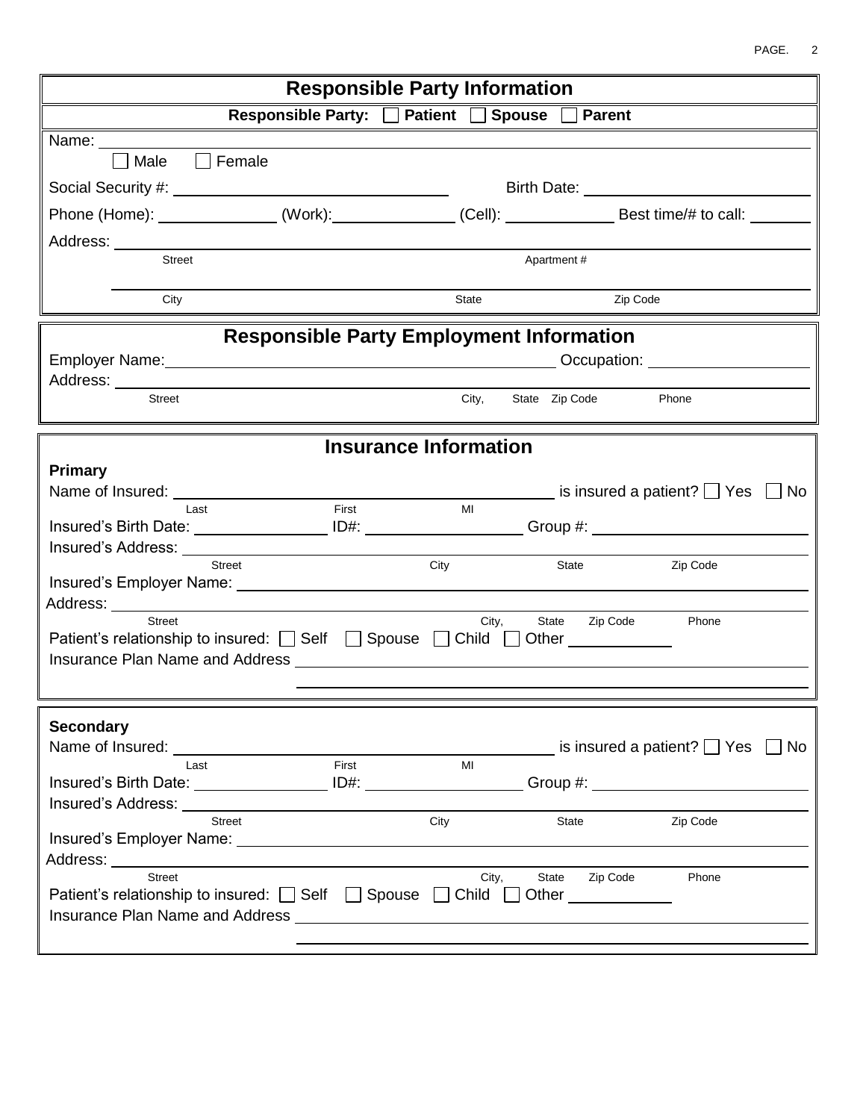| <b>Responsible Party Information</b>                                                                                                                                                                                                            |                                                                                                                                                                                                                                      |  |  |  |  |
|-------------------------------------------------------------------------------------------------------------------------------------------------------------------------------------------------------------------------------------------------|--------------------------------------------------------------------------------------------------------------------------------------------------------------------------------------------------------------------------------------|--|--|--|--|
| Responsible Party: □ Patient □ Spouse □ Parent                                                                                                                                                                                                  |                                                                                                                                                                                                                                      |  |  |  |  |
| Name: _________                                                                                                                                                                                                                                 |                                                                                                                                                                                                                                      |  |  |  |  |
| Female<br>Male<br>$\Box$                                                                                                                                                                                                                        |                                                                                                                                                                                                                                      |  |  |  |  |
|                                                                                                                                                                                                                                                 | Birth Date: <u>________________________________</u>                                                                                                                                                                                  |  |  |  |  |
|                                                                                                                                                                                                                                                 | Phone (Home): _______________(Work):_____________(Cell): _______________Best time/# to call: _______                                                                                                                                 |  |  |  |  |
|                                                                                                                                                                                                                                                 |                                                                                                                                                                                                                                      |  |  |  |  |
| Street                                                                                                                                                                                                                                          | Apartment#                                                                                                                                                                                                                           |  |  |  |  |
| City                                                                                                                                                                                                                                            | Zip Code<br>State                                                                                                                                                                                                                    |  |  |  |  |
|                                                                                                                                                                                                                                                 |                                                                                                                                                                                                                                      |  |  |  |  |
|                                                                                                                                                                                                                                                 | <b>Responsible Party Employment Information</b>                                                                                                                                                                                      |  |  |  |  |
|                                                                                                                                                                                                                                                 | Employer Name: <u>Name: Name: Name of the Contract of the Construction of the Constantial Construction:</u>                                                                                                                          |  |  |  |  |
| Address: Analysis and the contract of the contract of the contract of the contract of the contract of the contract of the contract of the contract of the contract of the contract of the contract of the contract of the cont<br><b>Street</b> | Phone                                                                                                                                                                                                                                |  |  |  |  |
|                                                                                                                                                                                                                                                 | City,<br>State Zip Code                                                                                                                                                                                                              |  |  |  |  |
|                                                                                                                                                                                                                                                 | <b>Insurance Information</b>                                                                                                                                                                                                         |  |  |  |  |
| Primary                                                                                                                                                                                                                                         |                                                                                                                                                                                                                                      |  |  |  |  |
| Name of Insured: ___________________                                                                                                                                                                                                            | $\blacksquare$ is insured a patient? $\blacksquare$ Yes $\blacksquare$ No                                                                                                                                                            |  |  |  |  |
| First<br>I ast                                                                                                                                                                                                                                  | MI                                                                                                                                                                                                                                   |  |  |  |  |
| Insured's Birth Date: __________________ID#: ___________________Group #: __________________________                                                                                                                                             |                                                                                                                                                                                                                                      |  |  |  |  |
| <b>Street</b>                                                                                                                                                                                                                                   | City<br>State<br>Zip Code                                                                                                                                                                                                            |  |  |  |  |
|                                                                                                                                                                                                                                                 |                                                                                                                                                                                                                                      |  |  |  |  |
| Address: __________                                                                                                                                                                                                                             |                                                                                                                                                                                                                                      |  |  |  |  |
| <b>Street</b>                                                                                                                                                                                                                                   | City,<br>State Zip Code<br>Phone                                                                                                                                                                                                     |  |  |  |  |
| Patient's relationship to insured: [ Self   Spouse   Child   Other   Child   Other   Child   Other   Child   Other   Child   Other   Child   Other   Child   Other   Child   Other   Child   Other   Child   Other   Child                      |                                                                                                                                                                                                                                      |  |  |  |  |
|                                                                                                                                                                                                                                                 |                                                                                                                                                                                                                                      |  |  |  |  |
|                                                                                                                                                                                                                                                 |                                                                                                                                                                                                                                      |  |  |  |  |
| <b>Secondary</b>                                                                                                                                                                                                                                |                                                                                                                                                                                                                                      |  |  |  |  |
| Name of Insured: ____                                                                                                                                                                                                                           | is insured a patient? $\Box$ Yes<br>No.                                                                                                                                                                                              |  |  |  |  |
| First<br>Last<br>Insured's Birth Date: ______________________ ID#: ______________________________                                                                                                                                               | MI<br>Group #: Network of the Second Second Second Second Second Second Second Second Second Second Second Second Second Second Second Second Second Second Second Second Second Second Second Second Second Second Second Second Se |  |  |  |  |
| Insured's Address: North States and States and States and States and States and States and States and States and States and States and States and States and States and States and States and States and States and States and                  |                                                                                                                                                                                                                                      |  |  |  |  |
| <b>Street</b>                                                                                                                                                                                                                                   | Zip Code<br>City<br>State                                                                                                                                                                                                            |  |  |  |  |
|                                                                                                                                                                                                                                                 |                                                                                                                                                                                                                                      |  |  |  |  |
| Address: Andreas Address and Address and Address and Address and Address and Address and Address and Address a<br>Street                                                                                                                        | City,<br>Zip Code<br>State<br>Phone                                                                                                                                                                                                  |  |  |  |  |
| Patient's relationship to insured: Self Spouse C Child                                                                                                                                                                                          | Other _____________                                                                                                                                                                                                                  |  |  |  |  |
| Insurance Plan Name and Address <b>contract the Contract of Address</b> and Address and Address and Address and Address                                                                                                                         |                                                                                                                                                                                                                                      |  |  |  |  |
|                                                                                                                                                                                                                                                 |                                                                                                                                                                                                                                      |  |  |  |  |